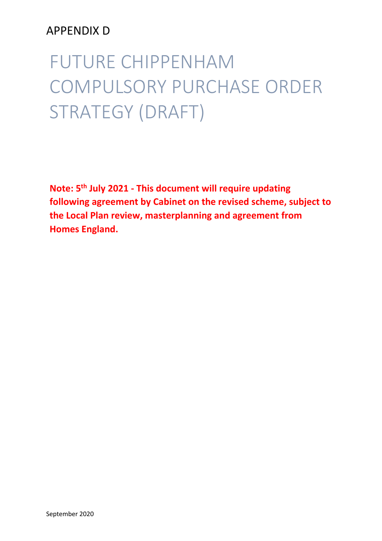## APPENDIX D

# FUTURE CHIPPENHAM COMPULSORY PURCHASE ORDER STRATEGY (DRAFT)

**Note: 5 th July 2021 - This document will require updating following agreement by Cabinet on the revised scheme, subject to the Local Plan review, masterplanning and agreement from Homes England.**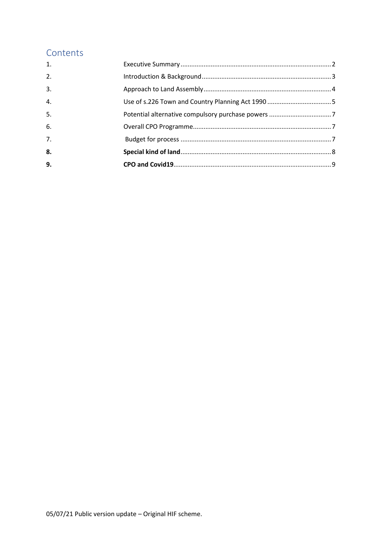## Contents

| 9.               |  |
|------------------|--|
| 8.               |  |
| $\overline{7}$ . |  |
| 6.               |  |
| 5.               |  |
| $\overline{4}$ . |  |
| $\overline{3}$ . |  |
| 2.               |  |
| 1.               |  |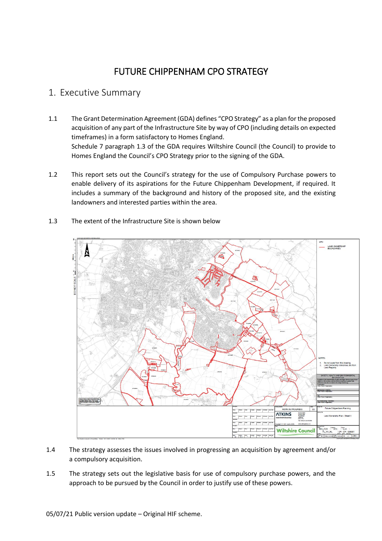## FUTURE CHIPPENHAM CPO STRATEGY

### <span id="page-2-0"></span>1. Executive Summary

- 1.1 The Grant Determination Agreement (GDA) defines "CPO Strategy" as a plan for the proposed acquisition of any part of the Infrastructure Site by way of CPO (including details on expected timeframes) in a form satisfactory to Homes England. Schedule 7 paragraph 1.3 of the GDA requires Wiltshire Council (the Council) to provide to Homes England the Council's CPO Strategy prior to the signing of the GDA.
- 1.2 This report sets out the Council's strategy for the use of Compulsory Purchase powers to enable delivery of its aspirations for the Future Chippenham Development, if required. It includes a summary of the background and history of the proposed site, and the existing landowners and interested parties within the area.
- 1.3 The extent of the Infrastructure Site is shown below



- 1.4 The strategy assesses the issues involved in progressing an acquisition by agreement and/or a compulsory acquisition.
- 1.5 The strategy sets out the legislative basis for use of compulsory purchase powers, and the approach to be pursued by the Council in order to justify use of these powers.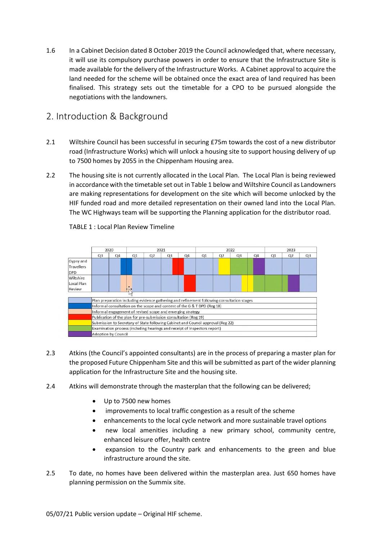1.6 In a Cabinet Decision dated 8 October 2019 the Council acknowledged that, where necessary, it will use its compulsory purchase powers in order to ensure that the Infrastructure Site is made available for the delivery of the Infrastructure Works. A Cabinet approval to acquire the land needed for the scheme will be obtained once the exact area of land required has been finalised. This strategy sets out the timetable for a CPO to be pursued alongside the negotiations with the landowners.

## <span id="page-3-0"></span>2. Introduction & Background

- 2.1 Wiltshire Council has been successful in securing £75m towards the cost of a new distributor road (Infrastructure Works) which will unlock a housing site to support housing delivery of up to 7500 homes by 2055 in the Chippenham Housing area.
- 2.2 The housing site is not currently allocated in the Local Plan. The Local Plan is being reviewed in accordance with the timetable set out in Table 1 below and Wiltshire Council as Landowners are making representations for development on the site which will become unlocked by the HIF funded road and more detailed representation on their owned land into the Local Plan. The WC Highways team will be supporting the Planning application for the distributor road.



TABLE 1 : Local Plan Review Timeline

- 2.3 Atkins (the Council's appointed consultants) are in the process of preparing a master plan for the proposed Future Chippenham Site and this will be submitted as part of the wider planning application for the Infrastructure Site and the housing site.
- 2.4 Atkins will demonstrate through the masterplan that the following can be delivered;
	- Up to 7500 new homes
	- improvements to local traffic congestion as a result of the scheme
	- enhancements to the local cycle network and more sustainable travel options
	- new local amenities including a new primary school, community centre, enhanced leisure offer, health centre
	- expansion to the Country park and enhancements to the green and blue infrastructure around the site.
- 2.5 To date, no homes have been delivered within the masterplan area. Just 650 homes have planning permission on the Summix site.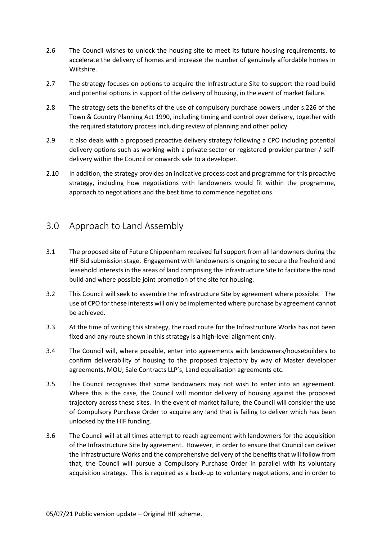- 2.6 The Council wishes to unlock the housing site to meet its future housing requirements, to accelerate the delivery of homes and increase the number of genuinely affordable homes in Wiltshire.
- 2.7 The strategy focuses on options to acquire the Infrastructure Site to support the road build and potential options in support of the delivery of housing, in the event of market failure.
- 2.8 The strategy sets the benefits of the use of compulsory purchase powers under s.226 of the Town & Country Planning Act 1990, including timing and control over delivery, together with the required statutory process including review of planning and other policy.
- 2.9 It also deals with a proposed proactive delivery strategy following a CPO including potential delivery options such as working with a private sector or registered provider partner / selfdelivery within the Council or onwards sale to a developer.
- 2.10 In addition, the strategy provides an indicative process cost and programme for this proactive strategy, including how negotiations with landowners would fit within the programme, approach to negotiations and the best time to commence negotiations.

## <span id="page-4-0"></span>3.0 Approach to Land Assembly

- 3.1 The proposed site of Future Chippenham received full support from all landowners during the HIF Bid submission stage. Engagement with landowners is ongoing to secure the freehold and leasehold interests in the areas of land comprising the Infrastructure Site to facilitate the road build and where possible joint promotion of the site for housing.
- 3.2 This Council will seek to assemble the Infrastructure Site by agreement where possible. The use of CPO for these interests will only be implemented where purchase by agreement cannot be achieved.
- 3.3 At the time of writing this strategy, the road route for the Infrastructure Works has not been fixed and any route shown in this strategy is a high-level alignment only.
- 3.4 The Council will, where possible, enter into agreements with landowners/housebuilders to confirm deliverability of housing to the proposed trajectory by way of Master developer agreements, MOU, Sale Contracts LLP's, Land equalisation agreements etc.
- 3.5 The Council recognises that some landowners may not wish to enter into an agreement. Where this is the case, the Council will monitor delivery of housing against the proposed trajectory across these sites. In the event of market failure, the Council will consider the use of Compulsory Purchase Order to acquire any land that is failing to deliver which has been unlocked by the HIF funding.
- 3.6 The Council will at all times attempt to reach agreement with landowners for the acquisition of the Infrastructure Site by agreement. However, in order to ensure that Council can deliver the Infrastructure Works and the comprehensive delivery of the benefits that will follow from that, the Council will pursue a Compulsory Purchase Order in parallel with its voluntary acquisition strategy. This is required as a back-up to voluntary negotiations, and in order to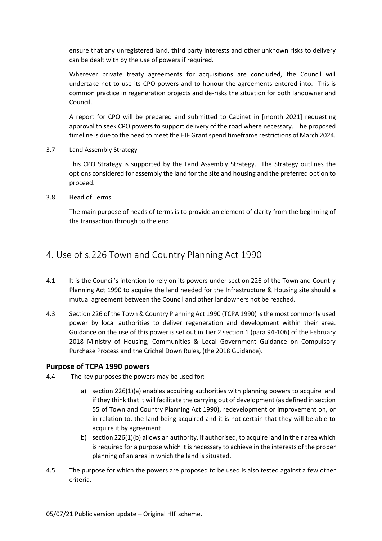ensure that any unregistered land, third party interests and other unknown risks to delivery can be dealt with by the use of powers if required.

Wherever private treaty agreements for acquisitions are concluded, the Council will undertake not to use its CPO powers and to honour the agreements entered into. This is common practice in regeneration projects and de-risks the situation for both landowner and Council.

A report for CPO will be prepared and submitted to Cabinet in [month 2021] requesting approval to seek CPO powers to support delivery of the road where necessary. The proposed timeline is due to the need to meet the HIF Grant spend timeframe restrictions of March 2024.

3.7 Land Assembly Strategy

This CPO Strategy is supported by the Land Assembly Strategy. The Strategy outlines the options considered for assembly the land for the site and housing and the preferred option to proceed.

3.8 Head of Terms

The main purpose of heads of terms is to provide an element of clarity from the beginning of the transaction through to the end.

## <span id="page-5-0"></span>4. Use of s.226 Town and Country Planning Act 1990

- 4.1 It is the Council's intention to rely on its powers under section 226 of the Town and Country Planning Act 1990 to acquire the land needed for the Infrastructure & Housing site should a mutual agreement between the Council and other landowners not be reached.
- 4.3 Section 226 of the Town & Country Planning Act 1990 (TCPA 1990) is the most commonly used power by local authorities to deliver regeneration and development within their area. Guidance on the use of this power is set out in Tier 2 section 1 (para 94-106) of the February 2018 Ministry of Housing, Communities & Local Government Guidance on Compulsory Purchase Process and the Crichel Down Rules, (the 2018 Guidance).

#### **Purpose of TCPA 1990 powers**

- 4.4 The key purposes the powers may be used for:
	- a) section 226(1)(a) enables acquiring authorities with planning powers to acquire land if they think that it will facilitate the carrying out of development (as defined in section 55 of Town and Country Planning Act 1990), redevelopment or improvement on, or in relation to, the land being acquired and it is not certain that they will be able to acquire it by agreement
	- b) section 226(1)(b) allows an authority, if authorised, to acquire land in their area which is required for a purpose which it is necessary to achieve in the interests of the proper planning of an area in which the land is situated.
- 4.5 The purpose for which the powers are proposed to be used is also tested against a few other criteria.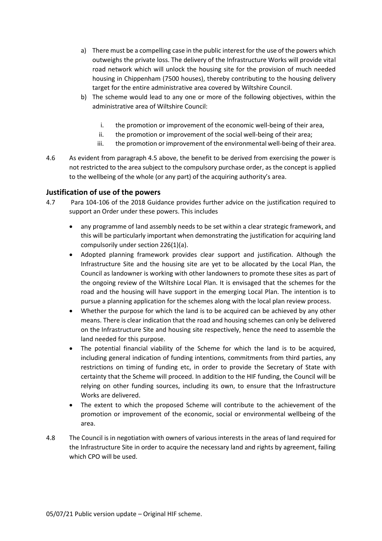- a) There must be a compelling case in the public interest for the use of the powers which outweighs the private loss. The delivery of the Infrastructure Works will provide vital road network which will unlock the housing site for the provision of much needed housing in Chippenham (7500 houses), thereby contributing to the housing delivery target for the entire administrative area covered by Wiltshire Council.
- b) The scheme would lead to any one or more of the following objectives, within the administrative area of Wiltshire Council:
	- i. the promotion or improvement of the economic well-being of their area,
	- ii. the promotion or improvement of the social well-being of their area;
	- iii. the promotion or improvement of the environmental well-being of their area.
- 4.6 As evident from paragraph 4.5 above, the benefit to be derived from exercising the power is not restricted to the area subject to the compulsory purchase order, as the concept is applied to the wellbeing of the whole (or any part) of the acquiring authority's area.

#### **Justification of use of the powers**

- 4.7 Para 104-106 of the 2018 Guidance provides further advice on the justification required to support an Order under these powers. This includes
	- any programme of land assembly needs to be set within a clear strategic framework, and this will be particularly important when demonstrating the justification for acquiring land compulsorily under section 226(1)(a).
	- Adopted planning framework provides clear support and justification. Although the Infrastructure Site and the housing site are yet to be allocated by the Local Plan, the Council as landowner is working with other landowners to promote these sites as part of the ongoing review of the Wiltshire Local Plan. It is envisaged that the schemes for the road and the housing will have support in the emerging Local Plan. The intention is to pursue a planning application for the schemes along with the local plan review process.
	- Whether the purpose for which the land is to be acquired can be achieved by any other means. There is clear indication that the road and housing schemes can only be delivered on the Infrastructure Site and housing site respectively, hence the need to assemble the land needed for this purpose.
	- The potential financial viability of the Scheme for which the land is to be acquired, including general indication of funding intentions, commitments from third parties, any restrictions on timing of funding etc, in order to provide the Secretary of State with certainty that the Scheme will proceed. In addition to the HIF funding, the Council will be relying on other funding sources, including its own, to ensure that the Infrastructure Works are delivered.
	- The extent to which the proposed Scheme will contribute to the achievement of the promotion or improvement of the economic, social or environmental wellbeing of the area.
- 4.8 The Council is in negotiation with owners of various interests in the areas of land required for the Infrastructure Site in order to acquire the necessary land and rights by agreement, failing which CPO will be used.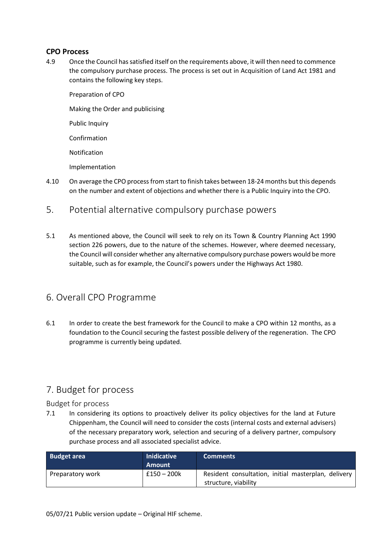#### **CPO Process**

4.9 Once the Council has satisfied itself on the requirements above, it will then need to commence the compulsory purchase process. The process is set out in Acquisition of Land Act 1981 and contains the following key steps.

Preparation of CPO Making the Order and publicising Public Inquiry Confirmation Notification Implementation

- 4.10 On average the CPO process from start to finish takes between 18-24 months but this depends on the number and extent of objections and whether there is a Public Inquiry into the CPO.
- <span id="page-7-0"></span>5. Potential alternative compulsory purchase powers
- 5.1 As mentioned above, the Council will seek to rely on its Town & Country Planning Act 1990 section 226 powers, due to the nature of the schemes. However, where deemed necessary, the Council will consider whether any alternative compulsory purchase powers would be more suitable, such as for example, the Council's powers under the Highways Act 1980.

## <span id="page-7-1"></span>6. Overall CPO Programme

6.1 In order to create the best framework for the Council to make a CPO within 12 months, as a foundation to the Council securing the fastest possible delivery of the regeneration. The CPO programme is currently being updated.

## <span id="page-7-2"></span>7. Budget for process

Budget for process

7.1 In considering its options to proactively deliver its policy objectives for the land at Future Chippenham, the Council will need to consider the costs (internal costs and external advisers) of the necessary preparatory work, selection and securing of a delivery partner, compulsory purchase process and all associated specialist advice.

| <b>Budget area</b> | <b>Inidicative</b><br>Amount | <b>Comments</b>                                                             |
|--------------------|------------------------------|-----------------------------------------------------------------------------|
| Preparatory work   | $£150 - 200k$                | Resident consultation, initial masterplan, delivery<br>structure, viability |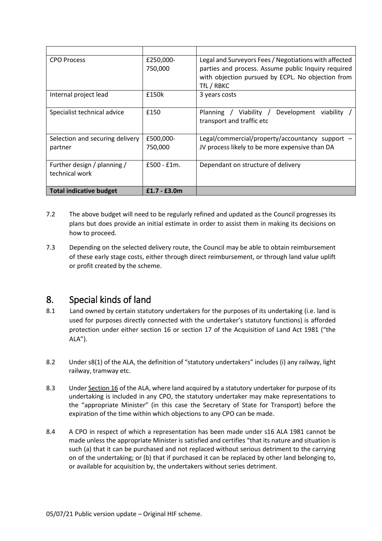| <b>CPO Process</b>                            | £250,000-<br>750,000 | Legal and Surveyors Fees / Negotiations with affected<br>parties and process. Assume public Inquiry required |
|-----------------------------------------------|----------------------|--------------------------------------------------------------------------------------------------------------|
|                                               |                      | with objection pursued by ECPL. No objection from<br>TfL / RBKC                                              |
| Internal project lead                         | £150k                | 3 years costs                                                                                                |
| Specialist technical advice                   | £150                 | Viability /<br>Development<br>Planning /<br>viability<br>transport and traffic etc                           |
| Selection and securing delivery<br>partner    | £500,000-<br>750,000 | Legal/commercial/property/accountancy support $-$<br>JV process likely to be more expensive than DA          |
| Further design / planning /<br>technical work | $£500 - £1m.$        | Dependant on structure of delivery                                                                           |
| <b>Total indicative budget</b>                | $£1.7 - £3.0m$       |                                                                                                              |

- 7.2 The above budget will need to be regularly refined and updated as the Council progresses its plans but does provide an initial estimate in order to assist them in making its decisions on how to proceed.
- 7.3 Depending on the selected delivery route, the Council may be able to obtain reimbursement of these early stage costs, either through direct reimbursement, or through land value uplift or profit created by the scheme.

## <span id="page-8-0"></span>8. Special kinds of land

- 8.1 Land owned by certain statutory undertakers for the purposes of its undertaking (i.e. land is used for purposes directly connected with the undertaker's statutory functions) is afforded protection under either section 16 or section 17 of the Acquisition of Land Act 1981 ("the ALA").
- 8.2 Under s8(1) of the ALA, the definition of "statutory undertakers" includes (i) any railway, light railway, tramway etc.
- 8.3 Under Section 16 of the ALA, where land acquired by a statutory undertaker for purpose of its undertaking is included in any CPO, the statutory undertaker may make representations to the "appropriate Minister" (in this case the Secretary of State for Transport) before the expiration of the time within which objections to any CPO can be made.
- 8.4 A CPO in respect of which a representation has been made under s16 ALA 1981 cannot be made unless the appropriate Minister is satisfied and certifies "that its nature and situation is such (a) that it can be purchased and not replaced without serious detriment to the carrying on of the undertaking; or (b) that if purchased it can be replaced by other land belonging to, or available for acquisition by, the undertakers without series detriment.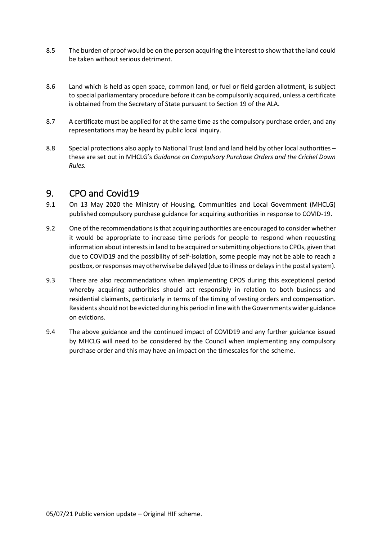- 8.5 The burden of proof would be on the person acquiring the interest to show that the land could be taken without serious detriment.
- 8.6 Land which is held as open space, common land, or fuel or field garden allotment, is subject to special parliamentary procedure before it can be compulsorily acquired, unless a certificate is obtained from the Secretary of State pursuant to Section 19 of the ALA.
- 8.7 A certificate must be applied for at the same time as the compulsory purchase order, and any representations may be heard by public local inquiry.
- 8.8 Special protections also apply to National Trust land and land held by other local authorities these are set out in MHCLG's *Guidance on Compulsory Purchase Orders and the Crichel Down Rules.*

## <span id="page-9-0"></span>9. CPO and Covid19

- 9.1 On 13 May 2020 the Ministry of Housing, Communities and Local Government (MHCLG) published compulsory purchase guidance for acquiring authorities in response to COVID-19.
- 9.2 One of the recommendations is that acquiring authorities are encouraged to consider whether it would be appropriate to increase time periods for people to respond when requesting information about interests in land to be acquired or submitting objections to CPOs, given that due to COVID19 and the possibility of self-isolation, some people may not be able to reach a postbox, or responses may otherwise be delayed (due to illness or delays in the postal system).
- 9.3 There are also recommendations when implementing CPOS during this exceptional period whereby acquiring authorities should act responsibly in relation to both business and residential claimants, particularly in terms of the timing of vesting orders and compensation. Residents should not be evicted during his period in line with the Governments wider guidance on evictions.
- 9.4 The above guidance and the continued impact of COVID19 and any further guidance issued by MHCLG will need to be considered by the Council when implementing any compulsory purchase order and this may have an impact on the timescales for the scheme.